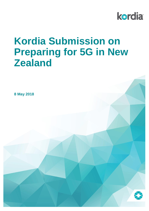

# **Kordia Submission on Preparing for 5G in New Zealand**

**8 May 2018**

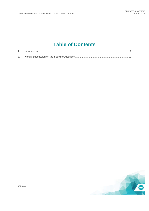# **Table of Contents**

| $\label{eq:interpolation} \text{Introduction}.\textcolor{red}{\textbf{1}+\textbf{1}}\text{matrix} \textcolor{red}{\textbf{1}+\textbf{1}}\text{matrix} \textcolor{red}{\textbf{1}+\textbf{1}}\text{matrix} \textcolor{red}{\textbf{1}+\textbf{1}}\text{matrix} \textcolor{red}{\textbf{1}+\textbf{1}}\text{matrix} \textcolor{red}{\textbf{1}+\textbf{1}}\text{matrix} \textcolor{red}{\textbf{1}+\textbf{1}}\text{matrix} \textcolor{red}{\textbf{1}+\textbf{1}}\text{matrix} \textcolor{red}{\textbf{1}+\textbf{1}}\text{matrix}$ |
|------------------------------------------------------------------------------------------------------------------------------------------------------------------------------------------------------------------------------------------------------------------------------------------------------------------------------------------------------------------------------------------------------------------------------------------------------------------------------------------------------------------------------------|
|                                                                                                                                                                                                                                                                                                                                                                                                                                                                                                                                    |



KORDIA®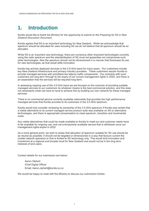# <span id="page-2-0"></span>**1. Introduction**

Kordia would like to thank the Ministry for the opportunity to submit on the *Preparing for 5G in New Zealand Discussion Document.*

Kordia agrees that 5G is an important technology for New Zealand. While we acknowledge that spectrum should be allocated for uses including 5G we do not believe that all spectrum should be so allocated.

While 5G is an important new technology, there are numerous other important technologies currently using the radio spectrum and the standardisation of 5G must not jeopardise nor compromise such other technologies. Also the spectrum should not be dimensioned in a manner that forecloses its use for new technologies, as that would stifle innovation.

Kordia has actively deployed services in the 3.5 GHz band for many years. Our customers include key New Zealand infrastructure and primary industry providers. These customers require Kordia to provide managed services with prioritised low latency traffic components. Our contracts with such customers are long term through to the expiry of our current management rights in 2022, and there is an expectation that the services will be required long-term.

In assessing ongoing use of the 3.5 GHz band we are focused on the outcome of providing suitable managed services to our customers by whatever means is the best commercial solution, and this does not necessarily mean we have to have to achieve this by building our own network for these managed services.

There is no commercial service currently available nationwide that provides the high performance managed services that Kordia provides to its customers in the 3.5 GHz spectrum.

Kordia would only consider reviewing its ownership of the 3.5 GHz spectrum if Kordia was certain that a viable alternative to its current managed service product suite was available on 5G or alternative technologies, and there is appropriate compensation to meet spectrum, transition and incremental costs.

Any viable alternatives that could be made available to Kordia to meet our end customer needs have to be available for ongoing use, and not a temporarily available service that is withdrawn once our management rights expire in 2022.

As a more general point, we wish to stress that allocation of spectrum suitable for 5G use should be as neutral as possible: it should not be targeted or dimensioned in a way that favours current the mobile network operators or that is limited to 5G technology only. This would limit innovation and investment at a regional and broader level for New Zealand and would not be in the long term interests of end users.

Contact details for our submission are below:

Aaron Olphert Chief Digital Officer Email: Aaron.olphert@kordia.co.nz

We would be happy to meet with the Ministry to discuss our submission further.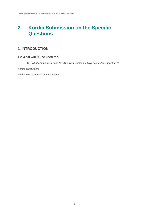# <span id="page-3-0"></span>**2. Kordia Submission on the Specific Questions**

# **1. INTRODUCTION**

#### **1.2 What will 5G be used for?**

*1) What are the likely uses for 5G in New Zealand initially and in the longer term?*

*Kordia submission:*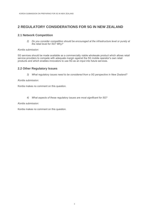### **2 REGULATORY CONSIDERATIONS FOR 5G IN NEW ZEALAND**

#### **2.1 Network Competition**

*2) Do you consider competition should be encouraged at the infrastructure level or purely at the retail level for 5G? Why?*

#### *Kordia submission:*

5G services should be made available as a commercially viable wholesale product which allows retail service providers to compete with adequate margin against the 5G mobile operator's own retail products and which enables innovators to use 5G as an input into future services.

#### **2.2 Other Regulatory Issues**

*3) What regulatory issues need to be considered from a 5G perspective in New Zealand?*

#### *Kordia submission:*

Kordia makes no comment on this question.

*4) What aspects of these regulatory issues are most significant for 5G?*

#### *Kordia submission:*

Kordia makes no comment on this question.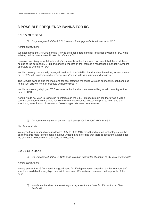# **3 POSSIBLE FREQUENCY BANDS FOR 5G**

#### **3.1 3.5 GHz Band**

*5) Do you agree that the 3.5 GHz band is the top priority for allocation for 5G?*

#### *Kordia submission:*

We accept that the 3.5 GHz band is likely to be a candidate band for initial deployments of 5G, while existing cellular bands are still used for 3G and 4G.

However, we disagree with the Ministry's comments in the discussion document that there is little or no use of the current 3.5 GHz band and the implication that there is a reluctance amongst incumbent operators to change to TDD.

Kordia currently has actively deployed services in the 3.5 GHz band and we have long term contracts out to 2022 with customers who provide New Zealand with vital utilities and services.

The 3.5GHz band is also the main one for cost effective managed wireless connectivity solutions due to the vast array of vendor products available globally.

Kordia has already deployed TDD services in this band and we were willing to help reconfigure the band to TDD.

Kordia would not wish to relinquish its interests in the 3.5GHz spectrum unless there was a viable commercial alternative available for Kordia's managed service customers prior to 2022 and the spectrum, transition and incremental (to existing) costs were compensated.

*6) Do you have any comments on reallocating 3587 to 3690 MHz for 5G?*

#### *Kordia submission:*

We agree that it is sensible to reallocate 3587 to 3690 MHz for 5G and related technologies, on the basis that this radio licence band is all but unused, and providing that there is spectrum available for the sole satellite operator in this band to relocate to.

#### **3.2 26 GHz Band**

*7) Do you agree that the 26 GHz band is a high priority for allocation to 5G in New Zealand?*

#### *Kordia submission:*

We agree that the 26 GHz band is a good band for 5G deployments, based on the large amount of spectrum available for very high bandwidth services. We make no comment on the priority of this band.

*8) Would this band be of interest to your organization for trials for 5G services in New Zealand?*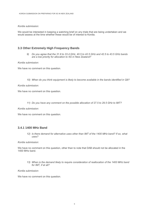#### *Kordia submission:*

We would be interested in keeping a watching brief on any trials that are being undertaken and we would assess at the time whether these would be of interest to Kordia.

#### **3.3 Other Extremely High Frequency Bands**

*9) Do you agree that the 31.8 to 33.4 GHz, 40.5 to 42.5 GHz and 42.5 to 43.5 GHz bands are a low priority for allocation to 5G in New Zealand?*

#### *Kordia submission:*

We have no comment on this question.

*10) When do you think equipment is likely to become available in the bands identified in Q9?*

#### *Kordia submission:*

We have no comment on this question.

*11) Do you have any comment on the possible allocation of 27.5 to 29.5 GHz to IMT?*

*Kordia submission:*

We have no comment on this question.

#### **3.4.1 1400 MHz Band**

*12) Is there demand for alternative uses other than IMT of the 1400 MHz band? If so, what uses?*

#### *Kordia submission:*

We have no comment on this question, other than to note that DAB should not be allocated in the 1400 MHz band.

*13) When is the demand likely to require consideration of reallocation of the 1400 MHz band for IMT, if at all?*

*Kordia submission:*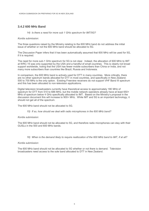#### **3.4.2 600 MHz Band**

#### *14) Is there a need for more sub 1 GHz spectrum for IMT/5G?*

#### *Kordia submission:*

The three questions raised by the Ministry relating to the 600 MHz band do not address the initial issue of whether or not the 600 MHz band should be allocated to 5G.

The Discussion Paper infers that it has been automatically assumed that 600 MHz will be used for 5G, if it is required.

The need for more sub-1 GHz spectrum for 5G is not clear. Indeed, the allocation of 600 MHz to IMT at WRC-15 was only supported by the USA and a handful of small countries. This is clearly not broad support worldwide, noting that the USA has fewer mobile subscribers than China or India, and not many more subscribers than countries like Brazil, Russia and Indonesia.

In comparison, the 600 MHz band is actively used for DTT in many countries. More critically, there are no other spectrum bands allocated for DTT in most countries, and specifically in New Zealand. 500 to 700 MHz is the only option. Existing Freeview receivers do not support VHF Band III spectrum and this has been allocated to non-television applications.

Digital television broadcasters currently have theoretical access to approximately 180 MHz of spectrum for DTT from 510 to 686 MHz, but the mobile network operators already have at least 650+ MHz of spectrum below 4 GHz specifically allocated to IMT. Based on the Ministry's proposal in the discussion document this will increase to 900+ MHz. While IMT and 5G is an important technology, it should not get all of the spectrum.

The 600 MHz band should not be allocated to 5G.

#### *15) If so, how should we deal with radio microphones in the 600 MHz band?*

#### *Kordia submission:*

The 600 MHz band should not be allocated to 5G, and therefore radio microphones can stay with their GUSLs in the 500 and 600 MHz bands.

*16) When is the demand likely to require reallocation of the 600 MHz band to IMT, if at all?*

#### *Kordia submission:*

The 600 MHz band should not be allocated to 5G whether or not there is demand. Television broadcasters need access to the sole band allocated to DTT in New Zealand.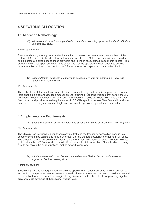# **4 SPECTRUM ALLOCATION**

#### **4.1 Allocation Methodology**

*17) Which allocation methodology should be used for allocating spectrum bands identified for use with 5G? Why?*

#### *Kordia submission:*

Spectrum should generally be allocated by auction. However, we recommend that a subset of the replanned 3.5 GHz TDD band is identified for existing active 3.5 GHz broadband wireless providers, and allocated at a fixed price to those providers and taking in account their investments to date. The broadband wireless spectrum could have conditions that the operators must not use it to provide cellular mobile services, to ensure that the 5G mobile operators' spectrum is not undermined.

*18) Should different allocation mechanisms be used for rights for regional providers and national providers? Why?*

#### *Kordia submission:*

There should be different allocation mechanisms, but not for regional vs national providers. Rather there should be different allocation mechanisms for existing broadband wireless providers in the 3.5 GHz band (whether national or regional) and for 5G national mobile providers. Kordia as a national fixed broadband provider would require access to 3.5 GHz spectrum across New Zealand in a similar manner to our existing management right and not have to fight over regional spectrum parks.

#### **4.2 Implementation Requirements**

*19) Should deployment of 5G technology be specified for some or all bands? If not, why not?*

#### *Kordia submission:*

The Ministry has traditionally been technology neutral, and the frequency bands discussed in this document should be technology neutral wherever there is the real possibility of other non-IMT uses. The spectrum should not be dimensioned in a manner which forecloses its use for new technologies (either within the IMT framework or outside it) as that would stifle innovation. Similarly, dimensioning should not favour the current national mobile network operators.

*20) What implementation requirements should be specified and how should these be expressed? – time, extent, etc –*

#### *Kordia submission:*

Suitable implementation requirements should be applied to all bands discussed in this document to ensure that the spectrum does not remain unused. However, these requirements should not demand a rapid rollout, given the new technologies being discussed and/or the difficulty of providing significant area or remote coverage at these higher frequencies.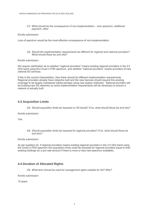*21) What should be the consequence of non-implementation – lose spectrum, additional payment, other*

#### *Kordia submission:*

Loss of spectrum would be the most effective consequence of non-implementation.

*22) Should the implementation requirements be different for regional and national providers? What should these be and why?*

#### *Kordia submission:*

We require clarification as to whether "regional providers" means existing regional providers in the 3.5 GHz band using the Crown's FDD spectrum, and whether "national providers" means providers of new national 5G services.

If this is the correct interpretation, then there should be different implementation requirements. Regional providers already have networks built and the new licences should require this existing coverage to be largely maintained (albeit perhaps using new duplex methods). National providers will be building new 5G networks so some implementation requirements will be necessary to ensure a network is actually built.

#### **4.3 Acquisition Limits**

*23) Should acquisition limits be imposed on 5G bands? If so, what should these be and why?*

*Kordia submission:*

Yes.

*24) Should acquisition limits be imposed for regional providers? If so, what should these be and why?*

*Kordia submission:*

As per question 22, if regional providers means existing regional providers in the 3.5 GHz band using the Crown's FDD spectrum the acquisition limits could be imposed for regional providers equal to their existing holdings (or a pro-rata amount if there is more or less new spectrum available).

#### **4.4 Duration of Allocated Rights**

*25) What term should be used for management rights suitable for 5G? Why?*

*Kordia submission:*

15 years.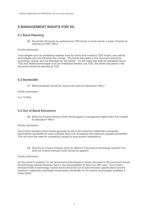### **5 MANAGEMENT RIGHTS FOR 5G**

#### **5.1 Band Planning**

*26) Should the 5G bands be replanned as TDD bands or some bands or parts of bands be retained as FDD? Why?*

#### *Kordia submission:*

Technologies such as broadband wireless have for some time moved to TDD modes, and cellular technologies are now following this change. The bands discussed in this document should be technology neutral, and not described as "5G bands". On the basis that draft 5G standards favour TDD and related technologies such as broadband wireless use TDD, the bands discussed in this document should be planned as TDD.

#### **5.2 Bandwidth**

*27) What bandwidth should be used as the basis for allocation? Why?*

*Kordia submission:*

5 or 10 MHz.

#### **5.3 Out of Band Emissions**

*28) What out of band emission limits should apply to management rights when first created for allocation? Why?*

#### *Kordia submission:*

Out of band emission limits should generally be set to the maximum realistically anticipated transmission bandwidth for each available band (not necessarily the maximum possible bandwidth). This will avoid the need for uncertainty caused by post-auction negotiations.

*29) Should out of band emission limits be different if the band is technology neutral? If so, what out of band emission limits should be applied?*

#### *Kordia submission:*

As discussed in question 19, we recommend that frequency bands discussed in this document should be technology neutral wherever there is the real possibility of other non-IMT uses. Out of band emission limits in technology neutral bands should be out of band emission specifications and the maximum realistically anticipated transmission bandwidth for the various technologies available in these bands.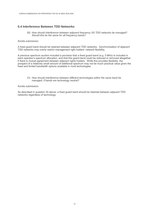#### **5.4 Interference Between TDD Networks**

*30) How should interference between adjacent frequency 5G TDD networks be managed? Should this be the same for all frequency bands?*

#### *Kordia submission:*

A fixed guard band should be retained between adjacent TDD networks. Synchronisation of adjacent TDD networks may overly restrict management right holders' network flexibility.

A previous spectrum auction included a provision that a fixed guard band (e.g. 5 MHz) is included in each operator's spectrum allocation, and that this guard band could be reduced or removed altogether if there is mutual agreement between adjacent rights holders. While this provides flexibility, the prospect of a relatively small amount of additional spectrum may not be much practical value given the fixed and limited bandwidth options available in most technologies.

#### *31) How should interference between different technologies within the same band be managed, if bands are technology neutral?*

#### *Kordia submission:*

As described in question 30 above, a fixed guard band should be retained between adjacent TDD networks regardless of technology.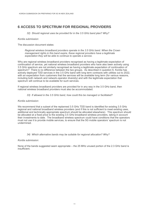# **6 ACCESS TO SPECTRUM FOR REGIONAL PROVIDERS**

*32) Should regional uses be provided for in the 3.5 GHz band plan? Why?*

#### *Kordia submission:*

The discussion document states:

*Regional wireless broadband providers operate in the 3.5 GHz band. When the Crown management rights in this band expire, these regional providers have a legitimate expectation they will be able to continue to operate a service.*

Why are regional wireless broadband providers recognised as having a legitimate expectation of continuation of service, yet national wireless broadband providers who have also been actively using 3.5 GHz spectrum are not similarly recognised as having a legitimate expectation of continuation of spectrum? There is no difference between the two groups. As described in question 6, Kordia has actively deployed TDD services in the 3.5 GHz band with long term contracts with utilities out to 2022, with an expectation from customers that the services will be available long term (for various reasons, including both network and network-operator diversity) and with the legitimate expectation that spectrum will continue to be available for such services.

If regional wireless broadband providers are provided for in any way in the 3.5 GHz band, then national wireless broadband providers must also be accommodated.

*33) If allowed in the 3.5 GHz band, how could this be managed or facilitated?*

#### *Kordia submission:*

We recommend that a subset of the replanned 3.5 GHz TDD band is identified for existing 3.5 GHz regional and national broadband wireless providers (and if this is not sufficient to meet existing uses, additional and technically appropriate spectrum should be allocated elsewhere). This spectrum should be allocated at a fixed price to the existing 3.5 GHz broadband wireless providers, taking in account their investments to date. The broadband wireless spectrum could have conditions that the operators must not use it to provide mobile services, to ensure that the 5G mobile operators' spectrum is not undermined.

#### *34) Which alternative bands may be suitable for regional allocation? Why?*

#### *Kordia submission:*

None of the bands suggested seem appropriate – the 25 MHz unused portion of the 2.3 GHz band is insufficient.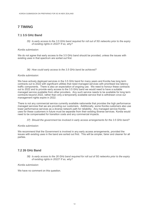# **7 TIMING**

#### **7.1 3.5 GHz Band**

*35) Is early access to the 3.5 GHz band required for roll out of 5G networks prior to the expiry of existing rights in 2022? If so, why?*

#### *Kordia submission:*

We do not agree that early access to the 3.5 GHz band should be provided, unless the issues with existing uses in that spectrum are sorted out first.

#### *36) How could early access to the 3.5 GHz band be achieved?*

#### *Kordia submission:*

We have actively deployed services in the 3.5 GHz band for many years and Kordia has long term contracts out to 2022 with significant utilities that need managed services with prioritised low latency traffic components. There is also an expectation of ongoing use. We need to honour these contracts out to 2022 and to provide early access to the 3.5 GHz band we would need to have a suitable managed service available from other providers. Any such service needs to be available for long term contracts beyond 2022, rather than only a temporarily available service that is withdrawn once our management rights expire in 2022.

There is not any commercial service currently available nationwide that provides the high performance managed services that we are providing our customers. Additionally, some Kordia customers also use lower performance services as a diverse network path for reliability. Any managed service Kordia uses for these customers in future must be separate from their existing diverse services. Kordia would need to be compensated for transition costs and any commercial impacts.

*37) Should the government be involved in early access arrangements for the 3.5 GHz band?*

#### *Kordia submission:*

We recommend that the Government is involved in any early access arrangements, provided the issues with existing uses in the band are sorted out first. This will be simpler, fairer and cleaner for all parties.

#### **7.2 26 GHz Band**

*38) Is early access to the 26 GHz band required for roll out of 5G networks prior to the expiry of existing rights in 2022? If so, why?*

#### *Kordia submission:*